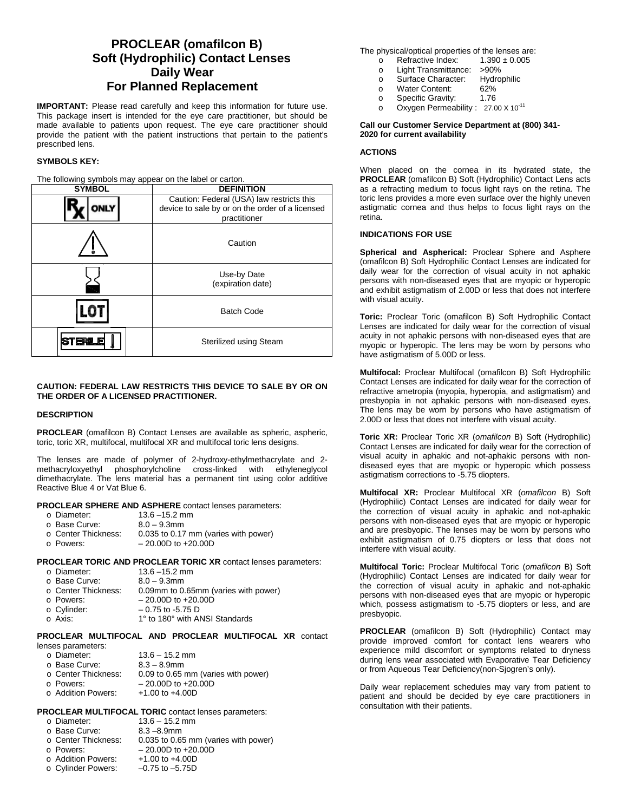# **PROCLEAR (omafilcon B) Soft (Hydrophilic) Contact Lenses Daily Wear For Planned Replacement**

**IMPORTANT:** Please read carefully and keep this information for future use. This package insert is intended for the eye care practitioner, but should be made available to patients upon request. The eye care practitioner should provide the patient with the patient instructions that pertain to the patient's prescribed lens.

# **SYMBOLS KEY:**

The following symbols may appear on the label or carton.

| <b>SYMBOL</b> | <b>DEFINITION</b>                                                                                            |  |
|---------------|--------------------------------------------------------------------------------------------------------------|--|
| <b>ONLY</b>   | Caution: Federal (USA) law restricts this<br>device to sale by or on the order of a licensed<br>practitioner |  |
|               | Caution                                                                                                      |  |
|               | Use-by Date<br>(expiration date)                                                                             |  |
|               | <b>Batch Code</b>                                                                                            |  |
|               | Sterilized using Steam                                                                                       |  |

# **CAUTION: FEDERAL LAW RESTRICTS THIS DEVICE TO SALE BY OR ON THE ORDER OF A LICENSED PRACTITIONER.**

#### **DESCRIPTION**

**PROCLEAR** (omafilcon B) Contact Lenses are available as spheric, aspheric, toric, toric XR, multifocal, multifocal XR and multifocal toric lens designs.

The lenses are made of polymer of 2-hydroxy-ethylmethacrylate and 2 methacryloxyethyl phosphorylcholine cross-linked with ethyleneglycol dimethacrylate. The lens material has a permanent tint using color additive Reactive Blue 4 or Vat Blue 6.

# **PROCLEAR SPHERE AND ASPHERE** contact lenses parameters:

- 
- $13.6 15.2$  mm<br> $8.0 9.3$ mm o Base Curve:<br>o Center Thickness:
- $\circ$  Center Thickness: 0.035 to 0.17 mm (varies with power)<br> $\circ$  Powers:  $-20.00D$  to +20.00D
- $20.00D$  to  $+20.00D$

**PROCLEAR TORIC AND PROCLEAR TORIC XR** contact lenses parameters:

with power)

| $13.6 - 15.2$ mm         |
|--------------------------|
| $8.0 - 9.3$ mm           |
| 0.09mm to 0.65mm (varies |
| $-20.00D$ to $+20.00D$   |
|                          |

- $\circ$  Cylinder:  $-0.75$  to -5.75 D<br> $\circ$  Axis:  $1^{\circ}$  to 180° with Al
	- 1° to 180° with ANSI Standards

**PROCLEAR MULTIFOCAL AND PROCLEAR MULTIFOCAL XR** contact

| lenses parameters: |  |
|--------------------|--|
|--------------------|--|

| o Diameter:         | $13.6 - 15.2$ mm                    |
|---------------------|-------------------------------------|
| o Base Curve:       | $8.3 - 8.9$ mm                      |
| ○ Center Thickness: | 0.09 to 0.65 mm (varies with power) |
| o Powers:           | $-20.00D$ to $+20.00D$              |
| ○ Addition Powers:  | $+1.00$ to $+4.00$ D                |

# **PROCLEAR MULTIFOCAL TORIC** contact lenses parameters:

| ∩ Diameter:   | $13.6 - 15.2$ mm |
|---------------|------------------|
| ⊙ Base Curve: | $8.3 - 8.9$ mm   |

|      |  |  |  | $0.035$ to $0.65$ mm (varies with no |  |
|------|--|--|--|--------------------------------------|--|
| ،≏ء∩ |  |  |  |                                      |  |

- -
- o Addition Powers: +1.00 to +4.00D<br>○ Cylinder Powers: -0.75 to -5.75D o Cylinder Powers:

The physical/optical properties of the lenses are:<br>  $\circ$  Refractive Index: 1.390 ± 0.005

- o Refractive Index:<br>o Light Transmittan
- 
- Light Transmittance: >90%<br>Surface Character: Hydrophilic o Surface Character: Hydrophilic Surface Character: Hydrophilic S2%
- o Water Content: 62%<br>
o Specific Gravity: 1.76
- Specific Gravity:
- o Oxygen Permeability : 27.00 X 10<sup>-11</sup>

**Call our Customer Service Department at (800) 341- 2020 for current availability**

# **ACTIONS**

When placed on the cornea in its hydrated state, the **PROCLEAR** (omafilcon B) Soft (Hydrophilic) Contact Lens acts as a refracting medium to focus light rays on the retina. The toric lens provides a more even surface over the highly uneven astigmatic cornea and thus helps to focus light rays on the retina.

#### **INDICATIONS FOR USE**

**Spherical and Aspherical:** Proclear Sphere and Asphere (omafilcon B) Soft Hydrophilic Contact Lenses are indicated for daily wear for the correction of visual acuity in not aphakic persons with non-diseased eyes that are myopic or hyperopic and exhibit astigmatism of 2.00D or less that does not interfere with visual acuity.

**Toric:** Proclear Toric (omafilcon B) Soft Hydrophilic Contact Lenses are indicated for daily wear for the correction of visual acuity in not aphakic persons with non-diseased eyes that are myopic or hyperopic. The lens may be worn by persons who have astigmatism of 5.00D or less.

**Multifocal:** Proclear Multifocal (omafilcon B) Soft Hydrophilic Contact Lenses are indicated for daily wear for the correction of refractive ametropia (myopia, hyperopia, and astigmatism) and presbyopia in not aphakic persons with non-diseased eyes. The lens may be worn by persons who have astigmatism of 2.00D or less that does not interfere with visual acuity.

**Toric XR:** Proclear Toric XR (*omafilcon* B) Soft (Hydrophilic) Contact Lenses are indicated for daily wear for the correction of visual acuity in aphakic and not-aphakic persons with nondiseased eyes that are myopic or hyperopic which possess astigmatism corrections to -5.75 diopters.

**Multifocal XR:** Proclear Multifocal XR (*omafilcon* B) Soft (Hydrophilic) Contact Lenses are indicated for daily wear for the correction of visual acuity in aphakic and not-aphakic persons with non-diseased eyes that are myopic or hyperopic and are presbyopic. The lenses may be worn by persons who exhibit astigmatism of 0.75 diopters or less that does not interfere with visual acuity.

**Multifocal Toric:** Proclear Multifocal Toric (*omafilcon* B) Soft (Hydrophilic) Contact Lenses are indicated for daily wear for the correction of visual acuity in aphakic and not-aphakic persons with non-diseased eyes that are myopic or hyperopic which, possess astigmatism to -5.75 diopters or less, and are presbyopic.

**PROCLEAR** (omafilcon B) Soft (Hydrophilic) Contact may provide improved comfort for contact lens wearers who experience mild discomfort or symptoms related to dryness during lens wear associated with Evaporative Tear Deficiency or from Aqueous Tear Deficiency(non-Sjogren's only).

Daily wear replacement schedules may vary from patient to patient and should be decided by eye care practitioners in consultation with their patients.

 $\circ$  Center Thickness: 0.035 to 0.65 mm (varies with power)<br> $\circ$  Powers:  $-20.00D$  to +20.00D  $- 20.00D$  to  $+ 20.00D$ <br> $+ 1.00$  to  $+ 4.00D$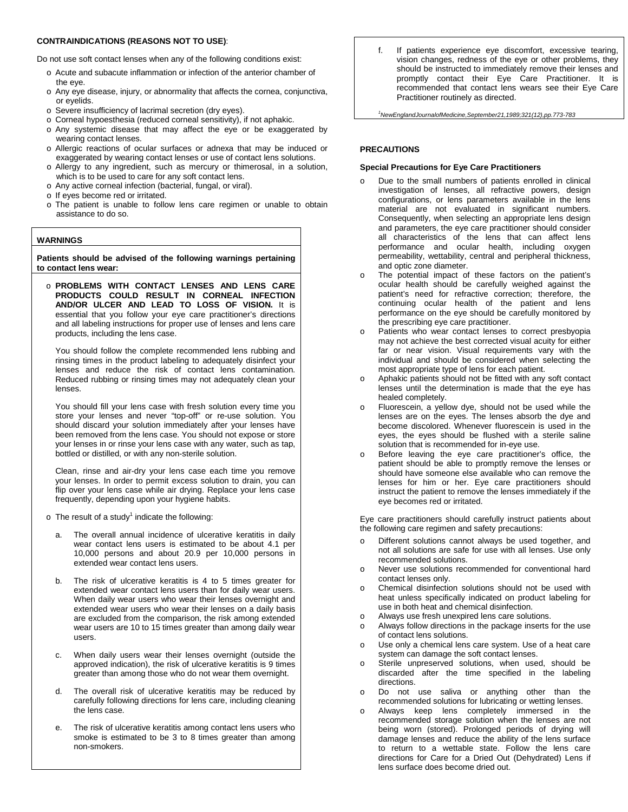### **CONTRAINDICATIONS (REASONS NOT TO USE)**:

Do not use soft contact lenses when any of the following conditions exist:

- o Acute and subacute inflammation or infection of the anterior chamber of the eye.
- o Any eye disease, injury, or abnormality that affects the cornea, conjunctiva, or eyelids.
- o Severe insufficiency of lacrimal secretion (dry eyes).
- o Corneal hypoesthesia (reduced corneal sensitivity), if not aphakic.
- o Any systemic disease that may affect the eye or be exaggerated by wearing contact lenses.
- o Allergic reactions of ocular surfaces or adnexa that may be induced or exaggerated by wearing contact lenses or use of contact lens solutions.
- o Allergy to any ingredient, such as mercury or thimerosal, in a solution, which is to be used to care for any soft contact lens.
- o Any active corneal infection (bacterial, fungal, or viral).
- o If eyes become red or irritated.
- o The patient is unable to follow lens care regimen or unable to obtain assistance to do so.

# **WARNINGS**

**Patients should be advised of the following warnings pertaining to contact lens wear:**

o **PROBLEMS WITH CONTACT LENSES AND LENS CARE PRODUCTS COULD RESULT IN CORNEAL INFECTION AND/OR ULCER AND LEAD TO LOSS OF VISION.** It is essential that you follow your eye care practitioner's directions and all labeling instructions for proper use of lenses and lens care products, including the lens case.

You should follow the complete recommended lens rubbing and rinsing times in the product labeling to adequately disinfect your lenses and reduce the risk of contact lens contamination. Reduced rubbing or rinsing times may not adequately clean your lenses.

You should fill your lens case with fresh solution every time you store your lenses and never "top-off" or re-use solution. You should discard your solution immediately after your lenses have been removed from the lens case. You should not expose or store your lenses in or rinse your lens case with any water, such as tap, bottled or distilled, or with any non-sterile solution.

Clean, rinse and air-dry your lens case each time you remove your lenses. In order to permit excess solution to drain, you can flip over your lens case while air drying. Replace your lens case frequently, depending upon your hygiene habits.

- $\circ$  The result of a study<sup>1</sup> indicate the following:
	- The overall annual incidence of ulcerative keratitis in daily wear contact lens users is estimated to be about 4.1 per 10,000 persons and about 20.9 per 10,000 persons in extended wear contact lens users.
	- b. The risk of ulcerative keratitis is 4 to 5 times greater for extended wear contact lens users than for daily wear users. When daily wear users who wear their lenses overnight and extended wear users who wear their lenses on a daily basis are excluded from the comparison, the risk among extended wear users are 10 to 15 times greater than among daily wear users.
	- c. When daily users wear their lenses overnight (outside the approved indication), the risk of ulcerative keratitis is 9 times greater than among those who do not wear them overnight.
	- d. The overall risk of ulcerative keratitis may be reduced by carefully following directions for lens care, including cleaning the lens case.
	- e. The risk of ulcerative keratitis among contact lens users who smoke is estimated to be 3 to 8 times greater than among non-smokers.

f. If patients experience eye discomfort, excessive tearing, vision changes, redness of the eye or other problems, they should be instructed to immediately remove their lenses and promptly contact their Eye Care Practitioner. It is recommended that contact lens wears see their Eye Care Practitioner routinely as directed.

*1 NewEnglandJournalofMedicine,September21,1989;321(12),pp.773-783*

#### **PRECAUTIONS**

## **Special Precautions for Eye Care Practitioners**

- Due to the small numbers of patients enrolled in clinical investigation of lenses, all refractive powers, design configurations, or lens parameters available in the lens material are not evaluated in significant numbers. Consequently, when selecting an appropriate lens design and parameters, the eye care practitioner should consider all characteristics of the lens that can affect lens performance and ocular health, including oxygen permeability, wettability, central and peripheral thickness, and optic zone diameter.
- o The potential impact of these factors on the patient's ocular health should be carefully weighed against the patient's need for refractive correction; therefore, the continuing ocular health of the patient and lens performance on the eye should be carefully monitored by the prescribing eye care practitioner.
- o Patients who wear contact lenses to correct presbyopia may not achieve the best corrected visual acuity for either far or near vision. Visual requirements vary with the individual and should be considered when selecting the most appropriate type of lens for each patient.
- o Aphakic patients should not be fitted with any soft contact lenses until the determination is made that the eye has healed completely.
- o Fluorescein, a yellow dye, should not be used while the lenses are on the eyes. The lenses absorb the dye and become discolored. Whenever fluorescein is used in the eyes, the eyes should be flushed with a sterile saline solution that is recommended for in-eye use.
- Before leaving the eye care practitioner's office, the patient should be able to promptly remove the lenses or should have someone else available who can remove the lenses for him or her. Eye care practitioners should instruct the patient to remove the lenses immediately if the eye becomes red or irritated.

Eye care practitioners should carefully instruct patients about the following care regimen and safety precautions:

- o Different solutions cannot always be used together, and not all solutions are safe for use with all lenses. Use only recommended solutions.
- o Never use solutions recommended for conventional hard contact lenses only.
- o Chemical disinfection solutions should not be used with heat unless specifically indicated on product labeling for use in both heat and chemical disinfection.
- o Always use fresh unexpired lens care solutions.
- o Always follow directions in the package inserts for the use of contact lens solutions.
- o Use only a chemical lens care system. Use of a heat care system can damage the soft contact lenses.
- o Sterile unpreserved solutions, when used, should be discarded after the time specified in the labeling directions.
- o Do not use saliva or anything other than the recommended solutions for lubricating or wetting lenses.
- o Always keep lens completely immersed in the recommended storage solution when the lenses are not being worn (stored). Prolonged periods of drying will damage lenses and reduce the ability of the lens surface to return to a wettable state. Follow the lens care directions for Care for a Dried Out (Dehydrated) Lens if lens surface does become dried out.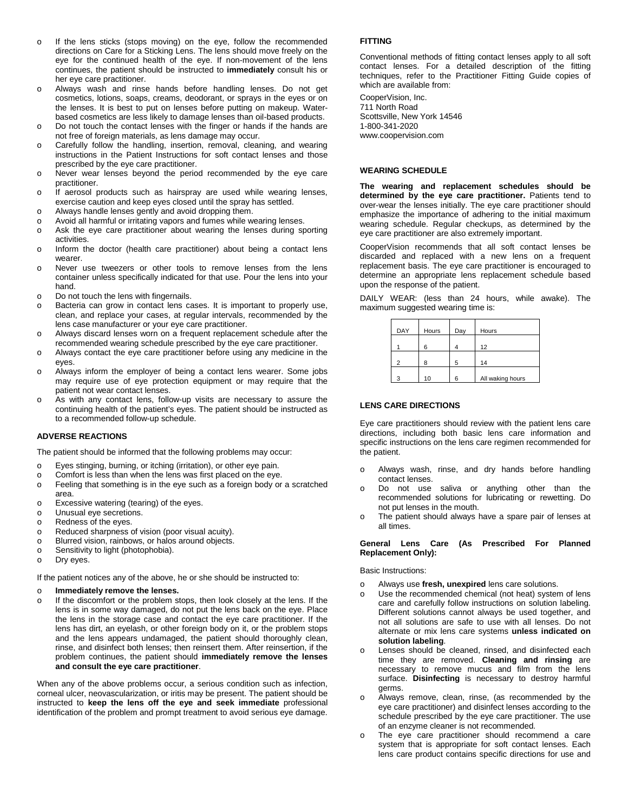- o If the lens sticks (stops moving) on the eye, follow the recommended directions on Care for a Sticking Lens. The lens should move freely on the eye for the continued health of the eye. If non-movement of the lens continues, the patient should be instructed to **immediately** consult his or her eye care practitioner.
- Always wash and rinse hands before handling lenses. Do not get cosmetics, lotions, soaps, creams, deodorant, or sprays in the eyes or on the lenses. It is best to put on lenses before putting on makeup. Waterbased cosmetics are less likely to damage lenses than oil-based products.
- Do not touch the contact lenses with the finger or hands if the hands are not free of foreign materials, as lens damage may occur.
- o Carefully follow the handling, insertion, removal, cleaning, and wearing instructions in the Patient Instructions for soft contact lenses and those prescribed by the eye care practitioner.
- o Never wear lenses beyond the period recommended by the eye care practitioner.
- o If aerosol products such as hairspray are used while wearing lenses, exercise caution and keep eyes closed until the spray has settled.
- o Always handle lenses gently and avoid dropping them.
- Avoid all harmful or irritating vapors and fumes while wearing lenses.
- o Ask the eye care practitioner about wearing the lenses during sporting activities.
- o Inform the doctor (health care practitioner) about being a contact lens wearer.
- o Never use tweezers or other tools to remove lenses from the lens container unless specifically indicated for that use. Pour the lens into your hand.
- o Do not touch the lens with fingernails.
- o Bacteria can grow in contact lens cases. It is important to properly use, clean, and replace your cases, at regular intervals, recommended by the lens case manufacturer or your eye care practitioner.
- o Always discard lenses worn on a frequent replacement schedule after the recommended wearing schedule prescribed by the eye care practitioner.
- o Always contact the eye care practitioner before using any medicine in the eyes.
- o Always inform the employer of being a contact lens wearer. Some jobs may require use of eye protection equipment or may require that the patient not wear contact lenses.
- o As with any contact lens, follow-up visits are necessary to assure the continuing health of the patient's eyes. The patient should be instructed as to a recommended follow-up schedule.

# **ADVERSE REACTIONS**

The patient should be informed that the following problems may occur:

- o Eyes stinging, burning, or itching (irritation), or other eye pain.
- o Comfort is less than when the lens was first placed on the eye.
- o Feeling that something is in the eye such as a foreign body or a scratched area.
- o Excessive watering (tearing) of the eyes.
- Unusual eye secretions.
- o Redness of the eyes.
- o Reduced sharpness of vision (poor visual acuity).
- o Blurred vision, rainbows, or halos around objects.<br>
Sensitivity to light (photophobia)
- Sensitivity to light (photophobia).
- o Dry eyes.

If the patient notices any of the above, he or she should be instructed to:

# o **Immediately remove the lenses.**

If the discomfort or the problem stops, then look closely at the lens. If the lens is in some way damaged, do not put the lens back on the eye. Place the lens in the storage case and contact the eye care practitioner. If the lens has dirt, an eyelash, or other foreign body on it, or the problem stops and the lens appears undamaged, the patient should thoroughly clean, rinse, and disinfect both lenses; then reinsert them. After reinsertion, if the problem continues, the patient should **immediately remove the lenses and consult the eye care practitioner**.

When any of the above problems occur, a serious condition such as infection, corneal ulcer, neovascularization, or iritis may be present. The patient should be instructed to **keep the lens off the eye and seek immediate** professional identification of the problem and prompt treatment to avoid serious eye damage.

# **FITTING**

Conventional methods of fitting contact lenses apply to all soft contact lenses. For a detailed description of the fitting techniques, refer to the Practitioner Fitting Guide copies of which are available from:

CooperVision, Inc. 711 North Road Scottsville, New York 14546 1-800-341-2020 www.coopervision.com

# **WEARING SCHEDULE**

**The wearing and replacement schedules should be determined by the eye care practitioner.** Patients tend to over-wear the lenses initially. The eye care practitioner should emphasize the importance of adhering to the initial maximum wearing schedule. Regular checkups, as determined by the eye care practitioner are also extremely important.

CooperVision recommends that all soft contact lenses be discarded and replaced with a new lens on a frequent replacement basis. The eye care practitioner is encouraged to determine an appropriate lens replacement schedule based upon the response of the patient.

DAILY WEAR: (less than 24 hours, while awake). The maximum suggested wearing time is:

| DAY | Hours | Day | Hours            |
|-----|-------|-----|------------------|
|     | հ     |     | 12               |
| 2   | я     | 5   | 14               |
| 3   | 10    | հ   | All waking hours |

# **LENS CARE DIRECTIONS**

Eye care practitioners should review with the patient lens care directions, including both basic lens care information and specific instructions on the lens care regimen recommended for the patient.

- o Always wash, rinse, and dry hands before handling contact lenses.
- o Do not use saliva or anything other than the recommended solutions for lubricating or rewetting. Do not put lenses in the mouth.
- o The patient should always have a spare pair of lenses at all times.

#### **General Lens Care (As Prescribed For Planned Replacement Only):**

Basic Instructions:

- o Always use **fresh, unexpired** lens care solutions.
- o Use the recommended chemical (not heat) system of lens care and carefully follow instructions on solution labeling. Different solutions cannot always be used together, and not all solutions are safe to use with all lenses. Do not alternate or mix lens care systems **unless indicated on solution labeling**.
- o Lenses should be cleaned, rinsed, and disinfected each time they are removed. **Cleaning and rinsing** are necessary to remove mucus and film from the lens surface. **Disinfecting** is necessary to destroy harmful germs.
- Always remove, clean, rinse, (as recommended by the eye care practitioner) and disinfect lenses according to the schedule prescribed by the eye care practitioner. The use of an enzyme cleaner is not recommended.
- The eye care practitioner should recommend a care system that is appropriate for soft contact lenses. Each lens care product contains specific directions for use and